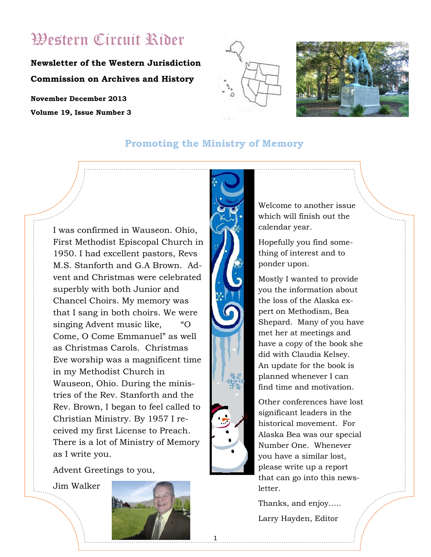# Western Circuit Rider

**Newsletter of the Western Jurisdiction Commission on Archives and History**

**November December 2013 Volume 19, Issue Number 3**





## **Promoting the Ministry of Memory**

I was confirmed in Wauseon. Ohio, First Methodist Episcopal Church in 1950. I had excellent pastors, Revs M.S. Stanforth and G.A Brown. Advent and Christmas were celebrated superbly with both Junior and Chancel Choirs. My memory was that I sang in both choirs. We were singing Advent music like, "O Come, O Come Emmanuel" as well as Christmas Carols. Christmas Eve worship was a magnificent time in my Methodist Church in Wauseon, Ohio. During the ministries of the Rev. Stanforth and the Rev. Brown, I began to feel called to Christian Ministry. By 1957 I received my first License to Preach. There is a lot of Ministry of Memory as I write you.

Advent Greetings to you,

Jim Walker



1

Welcome to another issue which will finish out the calendar year.

Hopefully you find something of interest and to ponder upon.

Mostly I wanted to provide you the information about the loss of the Alaska expert on Methodism, Bea Shepard. Many of you have met her at meetings and have a copy of the book she did with Claudia Kelsey. An update for the book is planned whenever I can find time and motivation.

Other conferences have lost significant leaders in the historical movement. For Alaska Bea was our special Number One. Whenever you have a similar lost, please write up a report that can go into this newsletter.

Thanks, and enjoy…..

Larry Hayden, Editor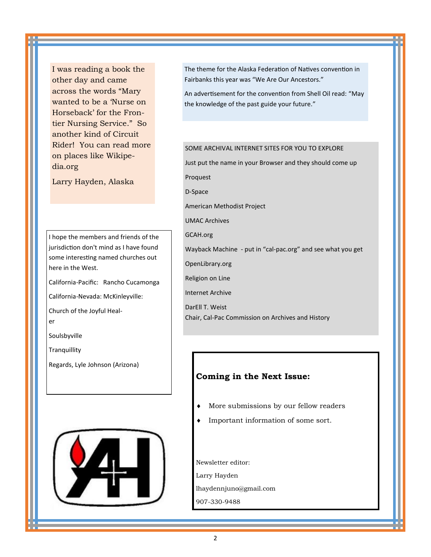I was reading a book the other day and came across the words "Mary wanted to be a 'Nurse on Horseback' for the Frontier Nursing Service." So another kind of Circuit Rider! You can read more on places like Wikipedia.org

Larry Hayden, Alaska

I hope the members and friends of the jurisdiction don't mind as I have found some interesting named churches out here in the West.

California-Pacific: Rancho Cucamonga

California-Nevada: McKinleyville:

Church of the Joyful Healer

Soulsbyville

**Tranquillity** 

Regards, Lyle Johnson (Arizona)



The theme for the Alaska Federation of Natives convention in Fairbanks this year was "We Are Our Ancestors."

An advertisement for the convention from Shell Oil read: "May the knowledge of the past guide your future."

#### SOME ARCHIVAL INTERNET SITES FOR YOU TO EXPLORE

Just put the name in your Browser and they should come up Proquest

D-Space

American Methodist Project

UMAC Archives

GCAH.org

Wayback Machine - put in "cal-pac.org" and see what you get

OpenLibrary.org

Religion on Line

Internet Archive

DarEll T. Weist Chair, Cal-Pac Commission on Archives and History

### **Coming in the Next Issue:**

- More submissions by our fellow readers
- Important information of some sort.

Newsletter editor: Larry Hayden lhaydennjuno@gmail.com 907-330-9488